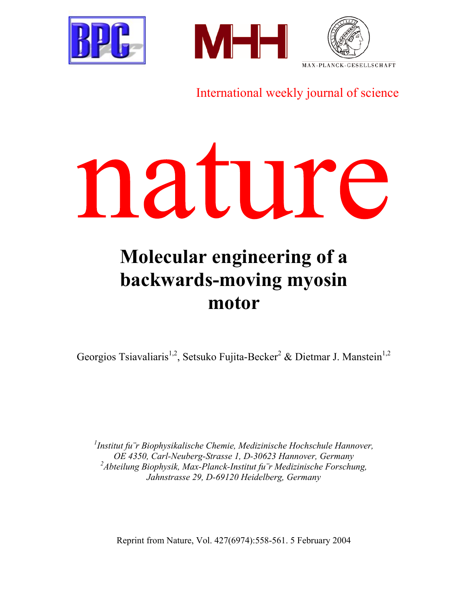





International weekly journal of science



# **Molecular engineering of a backwards-moving myosin motor**

Georgios Tsiavaliaris<sup>1,2</sup>, Setsuko Fujita-Becker<sup>2</sup> & Dietmar J. Manstein<sup>1,2</sup>

*1 Institut fu¨r Biophysikalische Chemie, Medizinische Hochschule Hannover, OE 4350, Carl-Neuberg-Strasse 1, D-30623 Hannover, Germany 2 Abteilung Biophysik, Max-Planck-Institut fu¨r Medizinische Forschung, Jahnstrasse 29, D-69120 Heidelberg, Germany* 

Reprint from Nature, Vol. 427(6974):558-561. 5 February 2004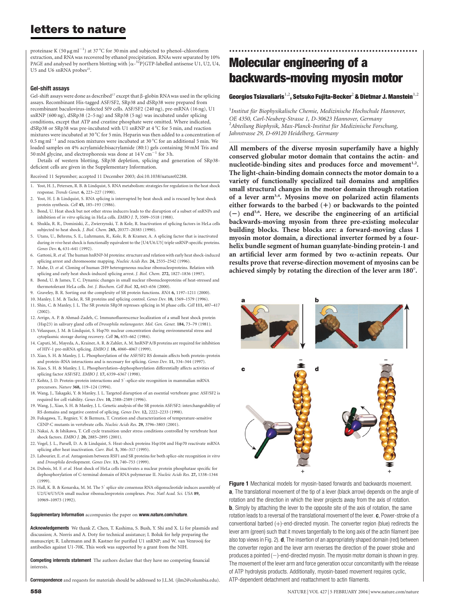# letters to nature

proteinase K (50  $\mu$ g ml<sup>-1</sup>) at 37 °C for 30 min and subjected to phenol-chloroform extraction, and RNA was recovered by ethanol precipitation. RNAs were separated by 10% PAGE and analysed by northern blotting with  $\left[\alpha^{-32}P\right] GTP$ -labelled antisense U1, U2, U4, U5 and U6 snRNA probes<sup>25</sup>.

#### Gel-shift assays

Gel-shift assays were done as described<sup>17</sup> except that  $\beta$ -globin RNA was used in the splicing assays. Recombinant His-tagged ASF/SF2, SRp38 and dSRp38 were prepared from recombinant baculovirus-infected Sf9 cells. ASF/SF2 (240 ng), pre-mRNA (16 ng), U1 snRNP (600 ng), dSRp38 (2–5 ng) and SRp38 (5 ng) was incubated under splicing conditions, except that ATP and creatine phosphate were omitted. Where indicated, dSRp38 or SRp38 was pre-incubated with U1 snRNP at 4 °C for 5 min, and reaction mixtures were incubated at 30  $^{\circ}$ C for 5 min. Heparin was then added to a concentration of 0.5 mg ml<sup> $^{-1}$ </sup> and reaction mixtures were incubated at 30 °C for an additional 5 min. We loaded samples on 4% acrylamide:bisacrylamide (80:1) gels containing 50 mM Tris and 50 mM glycine, and electrophoresis was done at  $14$  V cm<sup>-1</sup> for 3 h.

Details of western blotting, SRp38 depletion, splicing and generation of SRp38 deficient cells are given in the Supplementary Information.

Received 11 September; accepted 11 December 2003; doi:10.1038/nature02288.

- 1. Yost, H. J., Petersen, R. B. & Lindquist, S. RNA metabolism: strategies for regulation in the heat shock response. Trends Genet. 6, 223–227 (1990).
- 2. Yost, H. J. & Lindquist, S. RNA splicing is interrupted by heat shock and is rescued by heat shock protein synthesis. Cell 45, 185–193 (1986).
- 3. Bond, U. Heat shock but not other stress inducers leads to the disruption of a subset of snRNPs and inhibition of in vitro splicing in HeLa cells. EMBO J. 7, 3509–3518 (1988).
- 4. Shukla, R. R., Dominiski, Z., Zwierzynski, T. & Kole, R. Inactivation of splicing factors in HeLa cells subjected to heat shock. J. Biol. Chem. 265, 20377–20383 (1990).
- 5. Utans, U., Behrens, S. E., Luhrmann, R., Kole, R. & Kramer, A. A splicing factor that is inactivated during in vivo heat shock is functionally equivalent to the [U4/U6.U5] triple snRNP-specific proteins. Genes Dev. 6, 631–641 (1992).
- 6. Gattoni, R.et al. The human hnRNP-M proteins: structure and relation with early heat shock-induced splicing arrest and chromosome mapping. Nucleic Acids Res. 24, 2535–2542 (1996).
- 7. Mahe, D. et al. Cloning of human 2H9 heterogeneous nuclear ribonucleoproteins. Relation with splicing and early heat shock-induced splicing arrest. J. Biol. Chem. 272, 1827–1836 (1997).
- 8. Bond, U. & James, T. C. Dynamic changes in small nuclear ribonucleoproteins of heat-stressed and thermotolerant HeLa cells. Int. J. Biochem. Cell Biol. 32, 643–656 (2000).
- 9. Graveley, B. R. Sorting out the complexity of SR protein functions. RNA 6, 1197–1211 (2000).
- 10. Manley, J. M. & Tacke, R. SR proteins and splicing control. Genes Dev. 10, 1569–1579 (1996).
- 11. Shin, C. & Manley, J. L. The SR protein SRp38 represses splicing in M phase cells. Cell 111, 407–417 (2002).
- 12. Arrigo, A. P. & Ahmad-Zadeh, C. Immunofluorescence localization of a small heat shock protein (Hsp23) in salivary gland cells of Drosophila melanogaster. Mol. Gen. Genet. 184, 73–79 (1981).
- 13. Velazquez, J. M. & Lindquist, S. Hsp70: nuclear concentration during environmental stress and cytoplasmic storage during recovery. Cell 36, 655–662 (1984).
- 14. Caputi, M., Mayeda, A., Krainer, A. R. & Zahler, A. M. hnRNPA/B proteins are required for inhibition of HIV-1 pre-mRNA splicing. EMBO J. 18, 4060–4067 (1999).
- 15. Xiao, S. H. & Manley, J. L. Phosphorylation of the ASF/SF2 RS domain affects both protein–protein and protein–RNA interactions and is necessary for splicing. Genes Dev. 11, 334–344 (1997).
- 16. Xiao, S. H. & Manley, J. L. Phosphorylation–dephosphorylation differentially affects activities of splicing factor ASF/SF2. EMBO J. 17, 6359–6367 (1998).
- 17. Kohtz, J. D. Protein-protein interactions and 5'-splice-site recognition in mammalian mRNA precursors. Nature 368, 119–124 (1994).
- 18. Wang, J., Takagaki, Y. & Manley, J. L. Targeted disruption of an essential vertebrate gene: ASF/SF2 is required for cell viability. Genes Dev. 10, 2588–2589 (1996).
- 19. Wang, J., Xiao, S. H. & Manley, J. L. Genetic analysis of the SR protein ASF/SF2: interchangeability of RS domains and negative control of splicing. Genes Dev. 12, 2222–2233 (1998).
- 20. Fukagawa, T., Regnier, V. & Ikemura, T. Creation and characterization of temperature-sensitive CENP-C mutants in vertebrate cells. Nucleic Acids Res. 29, 3796–3803 (2001).
- 21. Nakai, A. & Ishikawa, T. Cell cycle transition under stress conditions controlled by vertebrate heat shock factors. EMBO J. 20, 2885–2895 (2001).
- 22. Vogel, J. L., Parsell, D. A. & Lindquist, S. Heat-shock proteins Hsp104 and Hsp70 reactivate mRNA splicing after heat inactivation. Curr. Biol. 5, 306–317 (1995).
- 23. Labourier, E. et al. Antagonism between RSF1 and SR proteins for both splice-site recognition in vitro and Drosophila development. Genes Dev. 13, 740–753 (1999).
- 24. Dubois, M. F. et al. Heat shock of HeLa cells inactivates a nuclear protein phosphatase specific for dephosphorylation of C-terminal domain of RNA polymerase II. Nucleic Acids Res. 27, 1338–1344 (1999).
- 25. Hall, K. B. & Konarska, M. M. The 5<sup>'</sup> splice site consensus RNA oligonucleotide induces assembly of U2/U4/U5/U6 small nuclear ribonucleoprotein complexes. Proc. Natl Acad. Sci. USA 89, 10969–10973 (1992).

#### Supplementary Information accompanies the paper on www.nature.com/nature.

Acknowledgements We thank Z. Chen, T. Kashima, S. Bush, Y. Shi and X. Li for plasmids and discussion; A. Norris and A. Doty for technical assistance; I. Boluk for help preparing the manuscript; R. Luhrmann and B. Kastner for purified U1 snRNP; and W. van Venrooij for antibodies against U1-70K. This work was supported by a grant from the NIH.

Competing interests statement The authors declare that they have no competing financial interests.

**Correspondence** and requests for materials should be addressed to LL.M. (ilm2@columbia.edu).

# Molecular engineering of a backwards-moving myosin motor

..............................................................

#### Georgios Tsiavaliaris<sup>1,2</sup>, Setsuko Fujita-Becker<sup>2</sup> & Dietmar J. Manstein<sup>1,2</sup>

<sup>1</sup>Institut für Biophysikalische Chemie, Medizinische Hochschule Hannover, OE 4350, Carl-Neuberg-Strasse 1, D-30623 Hannover, Germany <sup>2</sup> Abteilung Biophysik, Max-Planck-Institut für Medizinische Forschung, Jahnstrasse 29, D-69120 Heidelberg, Germany

............................................................................................................................................................................. All members of the diverse myosin superfamily have a highly conserved globular motor domain that contains the actin- and nucleotide-binding sites and produces force and movement<sup>1,2</sup>. The light-chain-binding domain connects the motor domain to a variety of functionally specialized tail domains and amplifies small structural changes in the motor domain through rotation of a lever arm<sup>3,4</sup>. Myosins move on polarized actin filaments either forwards to the barbed  $(+)$  or backwards to the pointed  $(-)$  end<sup>5,6</sup>. Here, we describe the engineering of an artificial backwards-moving myosin from three pre-existing molecular building blocks. These blocks are: a forward-moving class I myosin motor domain, a directional inverter formed by a fourhelix bundle segment of human guanylate-binding protein-1 and an artificial lever arm formed by two  $\alpha$ -actinin repeats. Our results prove that reverse-direction movement of myosins can be achieved simply by rotating the direction of the lever arm 180°.



Figure 1 Mechanical models for myosin-based forwards and backwards movement. a, The translational movement of the tip of a lever (black arrow) depends on the angle of rotation and the direction in which the lever projects away from the axis of rotation. **b**, Simply by attaching the lever to the opposite site of the axis of rotation, the same rotation leads to a reversal of the translational movement of the lever. c, Power-stroke of a conventional barbed  $(+)$ -end-directed myosin. The converter region (blue) redirects the lever arm (green) such that it moves tangentially to the long axis of the actin filament (see also top views in Fig. 2). **d**, The insertion of an appropriately shaped domain (red) between the converter region and the lever arm reverses the direction of the power stroke and produces a pointed  $(-)$ -end-directed myosin. The myosin motor domain is shown in grey. The movement of the lever arm and force generation occur concomitantly with the release of ATP hydrolysis products. Additionally, myosin-based movement requires cyclic, ATP-dependent detachment and reattachment to actin filaments.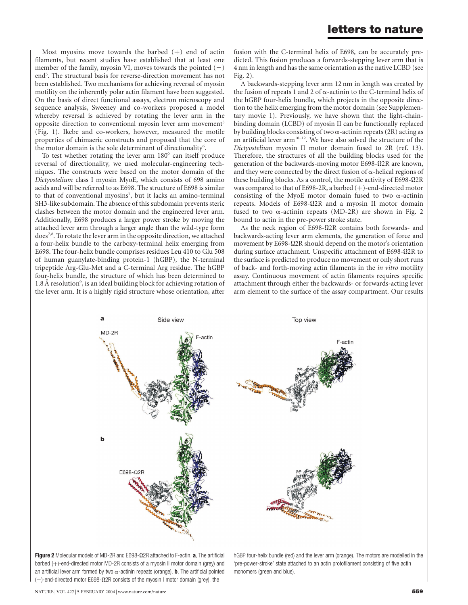Most myosins move towards the barbed  $(+)$  end of actin filaments, but recent studies have established that at least one member of the family, myosin VI, moves towards the pointed  $(-)$ end<sup>5</sup>. The structural basis for reverse-direction movement has not been established. Two mechanisms for achieving reversal of myosin motility on the inherently polar actin filament have been suggested. On the basis of direct functional assays, electron microscopy and sequence analysis, Sweeney and co-workers proposed a model whereby reversal is achieved by rotating the lever arm in the opposite direction to conventional myosin lever arm movement<sup>5</sup> (Fig. 1). Ikebe and co-workers, however, measured the motile properties of chimaeric constructs and proposed that the core of the motor domain is the sole determinant of directionality<sup>6</sup>.

To test whether rotating the lever arm  $180^\circ$  can itself produce reversal of directionality, we used molecular-engineering techniques. The constructs were based on the motor domain of the Dictyostelium class I myosin MyoE, which consists of 698 amino acids and will be referred to as E698. The structure of E698 is similar to that of conventional myosins<sup>7</sup>, but it lacks an amino-terminal SH3-like subdomain. The absence of this subdomain prevents steric clashes between the motor domain and the engineered lever arm. Additionally, E698 produces a larger power stroke by moving the attached lever arm through a larger angle than the wild-type form does7,8. To rotate the lever arm in the opposite direction, we attached a four-helix bundle to the carboxy-terminal helix emerging from E698. The four-helix bundle comprises residues Leu 410 to Glu 508 of human guanylate-binding protein-1 (hGBP), the N-terminal tripeptide Arg-Glu-Met and a C-terminal Arg residue. The hGBP four-helix bundle, the structure of which has been determined to 1.8 Å resolution<sup>9</sup>, is an ideal building block for achieving rotation of the lever arm. It is a highly rigid structure whose orientation, after

fusion with the C-terminal helix of E698, can be accurately predicted. This fusion produces a forwards-stepping lever arm that is 4 nm in length and has the same orientation as the native LCBD (see Fig. 2).

A backwards-stepping lever arm 12 nm in length was created by the fusion of repeats 1 and 2 of  $\alpha$ -actinin to the C-terminal helix of the hGBP four-helix bundle, which projects in the opposite direction to the helix emerging from the motor domain (see Supplementary movie 1). Previously, we have shown that the light-chainbinding domain (LCBD) of myosin II can be functionally replaced by building blocks consisting of two  $\alpha$ -actinin repeats (2R) acting as an artificial lever arm<sup>10-12</sup>. We have also solved the structure of the Dictyostelium myosin II motor domain fused to 2R (ref. 13). Therefore, the structures of all the building blocks used for the generation of the backwards-moving motor E698-Q2R are known, and they were connected by the direct fusion of  $\alpha$ -helical regions of these building blocks. As a control, the motile activity of E698-Q2R was compared to that of E698-2R, a barbed  $(+)$ -end-directed motor consisting of the MyoE motor domain fused to two  $\alpha$ -actinin repeats. Models of  $E698-\Omega2R$  and a myosin II motor domain fused to two  $\alpha$ -actinin repeats (MD-2R) are shown in Fig. 2 bound to actin in the pre-power stroke state.

As the neck region of E698-Q2R contains both forwards- and backwards-acting lever arm elements, the generation of force and movement by E698-Q2R should depend on the motor's orientation during surface attachment. Unspecific attachment of E698-Q2R to the surface is predicted to produce no movement or only short runs of back- and forth-moving actin filaments in the in vitro motility assay. Continuous movement of actin filaments requires specific attachment through either the backwards- or forwards-acting lever arm element to the surface of the assay compartment. Our results



Figure 2 Molecular models of MD-2R and E698- $\Omega$ 2R attached to F-actin. a, The artificial barbed  $(+)$ -end-directed motor MD-2R consists of a myosin II motor domain (grey) and an artificial lever arm formed by two  $\alpha$ -actinin repeats (orange). **b**, The artificial pointed  $(-)$ -end-directed motor E698- $\Omega$ 2R consists of the myosin I motor domain (grey), the

hGBP four-helix bundle (red) and the lever arm (orange). The motors are modelled in the 'pre-power-stroke' state attached to an actin protofilament consisting of five actin monomers (green and blue).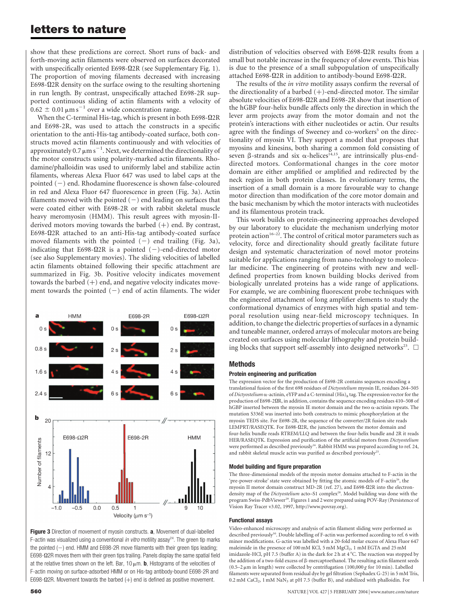# letters to nature

show that these predictions are correct. Short runs of back- and forth-moving actin filaments were observed on surfaces decorated with unspecifically oriented E698- $\Omega$ 2R (see Supplementary Fig. 1). The proportion of moving filaments decreased with increasing E698-Q2R density on the surface owing to the resulting shortening in run length. By contrast, unspecifically attached E698-2R supported continuous sliding of actin filaments with a velocity of  $0.62 \pm 0.01 \,\mathrm{\mu m \,s}^{-1}$  over a wide concentration range.

When the C-terminal His-tag, which is present in both E698-Q2R and E698-2R, was used to attach the constructs in a specific orientation to the anti-His-tag antibody-coated surface, both constructs moved actin filaments continuously and with velocities of approximately 0.7  $\mu$ m s $^{-1}$ . Next, we determined the directionality of the motor constructs using polarity-marked actin filaments. Rhodamine/phalloidin was used to uniformly label and stabilize actin filaments, whereas Alexa Fluor 647 was used to label caps at the pointed  $(-)$  end. Rhodamine fluorescence is shown false-coloured in red and Alexa Fluor 647 fluorescence in green (Fig. 3a). Actin filaments moved with the pointed  $(-)$  end leading on surfaces that were coated either with E698-2R or with rabbit skeletal muscle heavy meromyosin (HMM). This result agrees with myosin-IIderived motors moving towards the barbed  $(+)$  end. By contrast, E698-Q2R attached to an anti-His-tag antibody-coated surface moved filaments with the pointed  $(-)$  end trailing (Fig. 3a), indicating that E698- $\Omega$ 2R is a pointed (-)-end-directed motor (see also Supplementary movies). The sliding velocities of labelled actin filaments obtained following their specific attachment are summarized in Fig. 3b. Positive velocity indicates movement towards the barbed  $(+)$  end, and negative velocity indicates movement towards the pointed  $(-)$  end of actin filaments. The wider



Figure 3 Direction of movement of myosin constructs. a, Movement of dual-labelled F-actin was visualized using a conventional in vitro motility assay<sup>24</sup>. The green tip marks the pointed  $(-)$  end. HMM and E698-2R move filaments with their green tips leading;  $E698-Ω2R$  moves them with their green tips trailing. Panels display the same spatial field at the relative times shown on the left. Bar,  $10 \mu m$ . **b**, Histograms of the velocities of F-actin moving on surface-adsorbed HMM or on His-tag antibody-bound E698-2R and E698- $\Omega$ 2R. Movement towards the barbed (+) end is defined as positive movement.

distribution of velocities observed with E698-Q2R results from a small but notable increase in the frequency of slow events. This bias is due to the presence of a small subpopulation of unspecifically attached E698-Q2R in addition to antibody-bound E698-Q2R.

The results of the *in vitro* motility assays confirm the reversal of the directionality of a barbed  $(+)$ -end-directed motor. The similar absolute velocities of E698-Q2R and E698-2R show that insertion of the hGBP four-helix bundle affects only the direction in which the lever arm projects away from the motor domain and not the protein's interactions with either nucleotides or actin. Our results agree with the findings of Sweeney and co-workers<sup>5</sup> on the directionality of myosin VI. They support a model that proposes that myosins and kinesins, both sharing a common fold consisting of seven  $\beta$ -strands and six  $\alpha$ -helices<sup>14,15</sup>, are intrinsically plus-enddirected motors. Conformational changes in the core motor domain are either amplified or amplified and redirected by the neck region in both protein classes. In evolutionary terms, the insertion of a small domain is a more favourable way to change motor direction than modification of the core motor domain and the basic mechanism by which the motor interacts with nucleotides and its filamentous protein track.

This work builds on protein-engineering approaches developed by our laboratory to elucidate the mechanism underlying motor protein action<sup>16–22</sup>. The control of critical motor parameters such as velocity, force and directionality should greatly facilitate future design and systematic characterization of novel motor proteins suitable for applications ranging from nano-technology to molecular medicine. The engineering of proteins with new and welldefined properties from known building blocks derived from biologically unrelated proteins has a wide range of applications. For example, we are combining fluorescent probe techniques with the engineered attachment of long amplifier elements to study the conformational dynamics of enzymes with high spatial and temporal resolution using near-field microscopy techniques. In addition, to change the dielectric properties of surfaces in a dynamic and tuneable manner, ordered arrays of molecular motors are being created on surfaces using molecular lithography and protein building blocks that support self-assembly into designed networks<sup>23</sup>.  $\Box$ 

#### **Methods**

#### Protein engineering and purification

The expression vector for the production of E698-2R contains sequences encoding a translational fusion of the first 698 residues of Dictyostelium myosin IE, residues 264–505 of Dictyostelium  $\alpha$ -actinin, eYFP and a C-terminal (His)<sub>8</sub> tag. The expression vector for the production of E698-2QR, in addition, contains the sequence encoding residues 410–508 of hGBP inserted between the myosin IE motor domain and the two  $\alpha$ -actinin repeats. The mutation S336E was inserted into both constructs to mimic phosphorylation at the myosin TEDS site. For E698-2R, the sequence of the converter/2R fusion site reads LEMPRT/RASEQTK. For E698-Q2R, the junction between the motor domain and four-helix bundle reads RTREM/LLQ and between the four-helix bundle and 2R it reads HER/RASEQTK. Expression and purification of the artificial motors from Dictyostelium were performed as described previously<sup>16</sup>. Rabbit HMM was prepared according to ref. 24, and rabbit skeletal muscle actin was purified as described previously<sup>25</sup>.

#### Model building and figure preparation

The three-dimensional models of the myosin motor domains attached to F-actin in the 'pre-power-stroke' state were obtained by fitting the atomic models of F-actin<sup>26</sup>, the myosin II motor domain construct MD-2R (ref. 27), and E698-Q2R into the electrondensity map of the Dictyostelium acto-S1 complex<sup>28</sup>. Model building was done with the program Swiss-PdbViewer<sup>29</sup>. Figures 1 and 2 were prepared using POV-Ray (Persistence of Vision Ray Tracer v3.02, 1997, http://www.povray.org).

#### Functional assays

Video-enhanced microscopy and analysis of actin filament sliding were performed as described previously<sup>30</sup>. Double labelling of F-actin was performed according to ref. 6 with minor modifications. G-actin was labelled with a 20-fold molar excess of Alexa Fluor 647 maleimide in the presence of 100 mM KCl, 5 mM MgCl<sub>2</sub>, 1 mM EGTA and 25 mM imidazole-HCl, pH 7.5 (buffer A) in the dark for 2 h at  $4^{\circ}$ C. The reaction was stopped by the addition of a two-fold excess of  $\beta$ -mercaptoethanol. The resulting actin filament seeds (0.5–2  $\mu$ m in length) were collected by centrifugation (100,000 g for 10 min). Labelled filaments were separated from residual dye by gel filtration (Sephadex G-25) in 5 mM Tris,  $0.2 \text{ mM }$  CaCl<sub>2</sub>, 1 mM NaN<sub>3</sub> at pH 7.5 (buffer B), and stabilized with phalloidin. For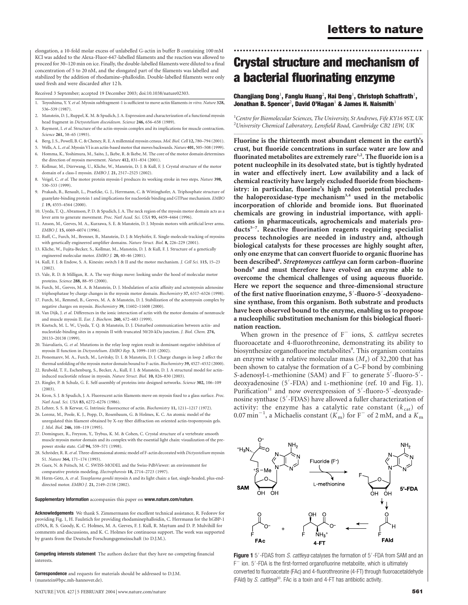elongation, a 10-fold molar excess of unlabelled G-actin in buffer B containing 100 mM KCl was added to the Alexa-Fluor-647-labelled filaments and the reaction was allowed to proceed for 30–120 min on ice. Finally, the double-labelled filaments were diluted to a final concentration of 5 to 20 nM, and the elongated part of the filaments was labelled and stabilized by the addition of rhodamine–phalloidin. Double-labelled filaments were only used fresh and were discarded after 12 h.

Received 3 September; accepted 19 December 2003; doi:10.1038/nature02303.

- 1. Toyoshima, Y. Y. et al. Myosin subfragment-1 is sufficient to move actin filaments in vitro. Nature 328, 536–539 (1987).
- 2. Manstein, D. J., Ruppel, K. M. & Spudich, J. A. Expression and characterization of a functional myosin head fragment in Dictyostelium discoideum. Science 246, 656–658 (1989).
- 3. Rayment, I. et al. Structure of the actin-myosin complex and its implications for muscle contraction. Science 261, 58-65 (1993).
- Berg, J. S., Powell, B. C. & Cheney, R. E. A millennial myosin census. Mol. Biol. Cell 12, 780-794 (2001).
- 5. Wells, A. L. et al. Myosin VI is an actin-based motor that moves backwards. Nature 401, 505-508 (1999).
- 6. Homma, K., Yoshimura, M., Saito, J., Ikebe, R. & Ikebe, M. The core of the motor domain determines the direction of myosin movement. Nature 412, 831–834 (2001).
- 7. Kollmar, M., Dürrwang, U., Kliche, W., Manstein, D. J. & Kull, F. J. Crystal structure of the motor domain of a class-I myosin. EMBO J. 21, 2517–2525 (2002).
- 8. Veigel, C. et al. The motor protein myosin-I produces its working stroke in two steps. Nature 398, 530–533 (1999).
- 9. Prakash, B., Renault, L., Praefcke, G. J., Herrmann, C. & Wittinghofer, A. Triphosphate structure of guanylate-binding protein 1 and implications for nucleotide binding and GTPase mechanism. EMBO J. 19, 4555–4564 (2000).
- 10. Uyeda, T. Q., Abramson, P. D. & Spudich, J. A. The neck region of the myosin motor domain acts as a lever arm to generate movement. Proc. Natl Acad. Sci. USA 93, 4459-4464 (1996).
- 11. Anson, M., Geeves, M. A., Kurzawa, S. E. & Manstein, D. J. Myosin motors with artificial lever arms. EMBO J. 15, 6069–6074 (1996).
- 12. Ruff, C., Furch, M., Brenner, B., Manstein, D. J. & Meyhöfer, E. Single-molecule tracking of myosins with genetically engineered amplifier domains. Nature Struct. Biol. 8, 226–229 (2001).
- 13. Kliche, W., Fujita-Becker, S., Kollmar, M., Manstein, D. J. & Kull, F. J. Structure of a genetically engineered molecular motor. EMBO J. 20, 40–46 (2001).
- 14. Kull, F. J. & Endow, S. A. Kinesin: switch I & II and the motor mechanism. J. Cell Sci. 115, 15–23 (2002).
- 15. Vale, R. D. & Milligan, R. A. The way things move: looking under the hood of molecular motor proteins. Science 288, 88–95 (2000).
- 16. Furch, M., Geeves, M. A. & Manstein, D. J. Modulation of actin affinity and actomyosin adenosine triphosphatase by charge changes in the myosin motor domain. Biochemistry 37, 6317–6326 (1998).
- 17. Furch, M., Remmel, B., Geeves, M. A. & Manstein, D. J. Stabilization of the actomyosin complex by negative charges on myosin. Biochemistry 39, 11602–11608 (2000).
- 18. Van Dijk, J. et al. Differences in the ionic interaction of actin with the motor domains of nonmuscle and muscle myosin II. Eur. J. Biochem. 260, 672–683 (1999).
- 19. Knetsch, M. L. W., Uyeda, T. Q. & Manstein, D. J. Disturbed communication between actin- and nucleotide-binding sites in a myosin II with truncated 50/20-kDa junction. J. Biol. Chem. 274, 20133–20138 (1999).
- 20. Tsiavaliaris, G. et al. Mutations in the relay loop region result in dominant-negative inhibition of myosin II function in Dictyostelium. EMBO Rep. 3, 1099–1105 (2002).
- 21. Ponomarev, M. A., Furch, M., Levitsky, D. I. & Manstein, D. J. Charge changes in loop 2 affect the thermal unfolding of the myosin motor domain bound to F-actin. Biochemistry 39, 4527–4532 (2000).
- 22. Reubold, T. F., Eschenburg, S., Becker, A., Kull, F. J. & Manstein, D. J. A structural model for actininduced nucleotide release in myosin. Nature Struct. Biol. 10, 826–830 (2003).
- 23. Ringler, P. & Schulz, G. E. Self-assembly of proteins into designed networks. Science 302, 106–109 (2003).
- 24. Kron, S. J. & Spudich, J. A. Fluorescent actin filaments move on myosin fixed to a glass surface. Proc. Natl Acad. Sci. USA 83, 6272–6276 (1986).
- 25. Lehrer, S. S. & Kerwar, G. Intrinsic fluorescence of actin. Biochemistry 11, 1211–1217 (1972).
- 26. Lorenz, M., Poole, K. J., Popp, D., Rosenbaum, G. & Holmes, K. C. An atomic model of the unregulated thin filament obtained by X-ray fiber diffraction on oriented actin-tropomyosin gels. J. Mol. Biol. 246, 108–119 (1995).
- 27. Dominguez, R., Freyzon, Y., Trybus, K. M. & Cohen, C. Crystal structure of a vertebrate smooth muscle myosin motor domain and its complex with the essential light chain: visualization of the prepower stroke state. Cell 94, 559–571 (1998).
- 28. Schröder, R. R. et al. Three-dimensional atomic model of F-actin decorated with Dictyostelium myosin S1. Nature 364, 171–174 (1993).
- 29. Guex, N. & Peitsch, M. C. SWISS-MODEL and the Swiss-PdbViewer: an environment for comparative protein modeling. Electrophoresis 18, 2714–2723 (1997).
- 30. Herm-Götz, A. et al. Toxoplasma gondii myosin A and its light chain: a fast, single-headed, plus-enddirected motor. EMBO J. 21, 2149–2158 (2002).

#### Supplementary Information accompanies this paper on www.nature.com/nature.

Acknowledgements We thank S. Zimmermann for excellent technical assistance, R. Fedorov for providing Fig. 1, H. Faulstich for providing rhodaminephalloidin, C. Herrmann for the hGBP-1 cDNA, R. S. Goody, K. C. Holmes, M. A. Geeves, F. J. Kull, R. Maytum and D. P. Mulvihill for comments and discussions, and K. C. Holmes for continuous support. The work was supported by grants from the Deutsche Forschungsgemeinschaft (to D.J.M.).

Competing interests statement The authors declare that they have no competing financial interests.

**Correspondence** and requests for materials should be addressed to D.I.M. (manstein@bpc.mh-hannover.de).

NATURE | VOL 427 | 5 FEBRUARY 2004 | www.nature.com/nature 561

# Crystal structure and mechanism of a bacterial fluorinating enzyme

..............................................................

#### Changjiang Dong $^1$ , Fanglu Huang $^2$ , Hai Deng $^1$ , Christoph Schaffrath $^1$ , Jonathan B. Spencer<sup>2</sup>, David O'Hagan<sup>1</sup> & James H. Naismith<sup>1</sup>

 $^1$ Centre for Biomolecular Sciences, The University, St Andrews, Fife KY16 9ST, UK <sup>2</sup>University Chemical Laboratory, Lensfield Road, Cambridge CB2 1EW, UK .............................................................................................................................................................................

Fluorine is the thirteenth most abundant element in the earth's crust, but fluoride concentrations in surface water are low and fluorinated metabolites are extremely rare<sup>1,2</sup>. The fluoride ion is a potent nucleophile in its desolvated state, but is tightly hydrated in water and effectively inert. Low availability and a lack of chemical reactivity have largely excluded fluoride from biochemistry: in particular, fluorine's high redox potential precludes the haloperoxidase-type mechanism<sup>3,4</sup> used in the metabolic incorporation of chloride and bromide ions. But fluorinated chemicals are growing in industrial importance, with applications in pharmaceuticals, agrochemicals and materials products<sup>5-7</sup>. Reactive fluorination reagents requiring specialist process technologies are needed in industry and, although biological catalysts for these processes are highly sought after, only one enzyme that can convert fluoride to organic fluorine has been described<sup>8</sup>. Streptomyces cattleya can form carbon-fluorine bonds<sup>9</sup> and must therefore have evolved an enzyme able to overcome the chemical challenges of using aqueous fluoride. Here we report the sequence and three-dimensional structure of the first native fluorination enzyme, 5'-fluoro-5'-deoxyadenosine synthase, from this organism. Both substrate and products have been observed bound to the enzyme, enabling us to propose a nucleophilic substitution mechanism for this biological fluorination reaction.

When grown in the presence of  $F^-$  ions, S. cattleya secretes fluoroacetate and 4-fluorothreonine, demonstrating its ability to biosynthesize organofluorine metabolites<sup>9</sup>. This organism contains an enzyme with a relative molecular mass  $(M_r)$  of 32,200 that has been shown to catalyse the formation of a C–F bond by combining S-adenosyl-L-methionine (SAM) and  $F^-$  to generate 5'-fluoro-5'deoxyadenosine (5'-FDA) and L-methionine (ref. 10 and Fig. 1). Purification<sup>11</sup> and now overexpression of 5'-fluoro-5'-deoxyadenosine synthase (5'-FDAS) have allowed a fuller characterization of activity: the enzyme has a catalytic rate constant  $(k_{cat})$  of 0.07 min<sup>-1</sup>, a Michaelis constant  $(K<sub>m</sub>)$  for F<sup>-</sup> of 2 mM, and a  $K<sub>m</sub>$ 



Figure 1 5'-FDAS from S. cattleya catalyses the formation of 5'-FDA from SAM and an  $F^-$  ion. 5'-FDA is the first-formed organofluorine metabolite, which is ultimately converted to fluoroacetate (FAc) and 4-fluorothreonine (4-FT) through fluoroacetaldehyde (FAld) by S. cattleya<sup>30</sup>. FAc is a toxin and 4-FT has antibiotic activity.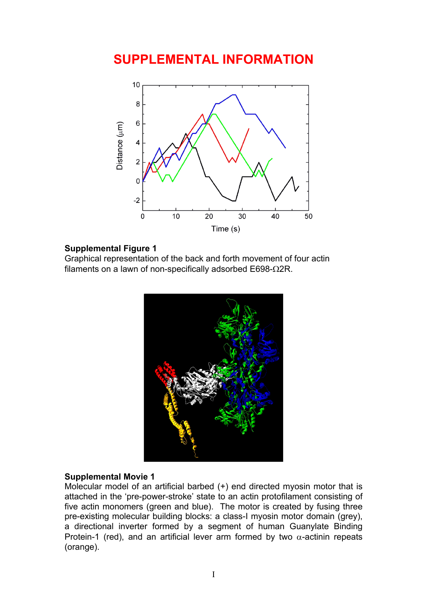# **SUPPLEMENTAL INFORMATION**



### **Supplemental Figure 1**

Graphical representation of the back and forth movement of four actin filaments on a lawn of non-specifically adsorbed E698-Ω2R.



### **Supplemental Movie 1**

Molecular model of an artificial barbed (+) end directed myosin motor that is attached in the 'pre-power-stroke' state to an actin protofilament consisting of five actin monomers (green and blue). The motor is created by fusing three pre-existing molecular building blocks: a class-I myosin motor domain (grey), a directional inverter formed by a segment of human Guanylate Binding Protein-1 (red), and an artificial lever arm formed by two  $\alpha$ -actinin repeats (orange).